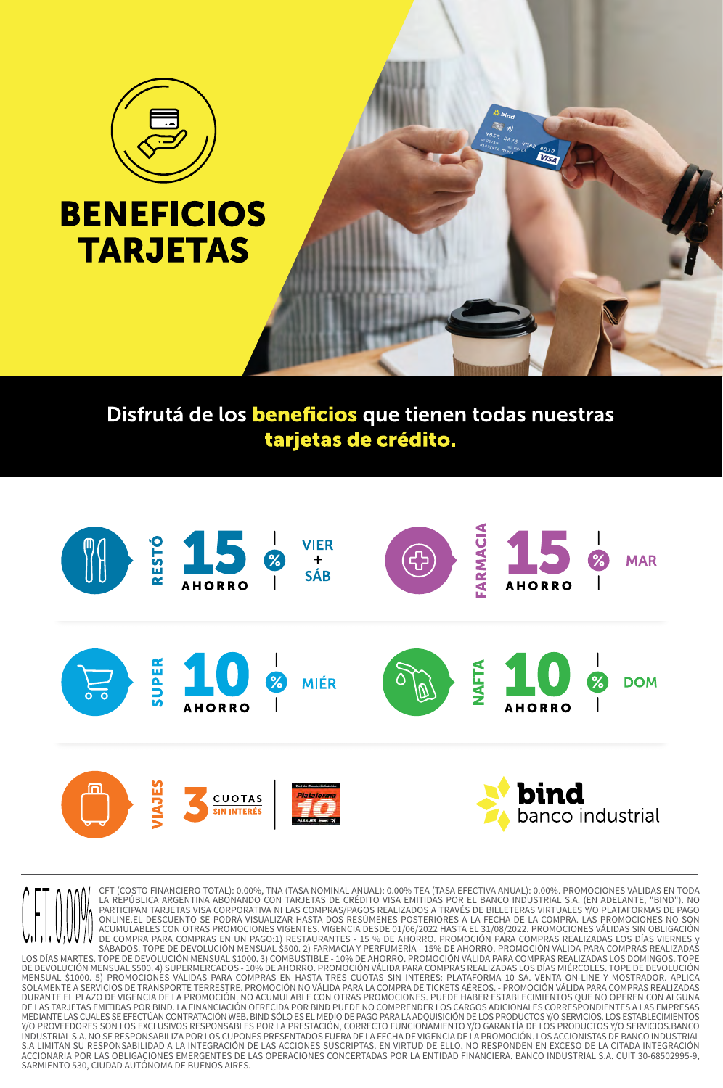

## **BENEFICIOS TARJETAS**

## Disfrutá de los beneficios que tienen todas nuestras tarjetas de crédito.

 $\sum_{i=1}^{n}$ 



CFT (COSTO FINANCIERO TOTAL): 0.00%, TNA (TASA NOMINAL ANUAL): 0.00% TEA (TASA EFECTIVA ANUAL): 0.00%. PROMOCIONES VÁLIDAS EN TODA LA REPÚBLICA ARGENTINA ABONANDO CON TARJETAS DE CRÉDITO VISA EMITIDAS POR EL BANCO INDUSTRIAL S.A. (EN ADELANTE, "BIND"). NO PARTICIPAN TARJETAS VISA CORPORATIVA NI LAS COMPRAS/PAGOS REALIZADOS A TRAVÉS DE BILLETERAS VIRTUALES Y/O PLATAFORMAS DE PAGO ONLINE.EL DESCUENTO SE PODRÁ VISUALIZAR HASTA DOS RESÚMENES POSTERIORES A LA FECHA DE LA COMPRA. LAS PROMOCIONES NO SON<br>ACUMULABLES CON OTRAS PROMOCIONES VIGENTES. VIGENCIA DESDE 01/06/2022 HASTA EL 31/08/2022. PROMOCIONES SÁBADOS. TOPE DE DEVOLUCIÓN MENSUAL \$500. 2) FARMACIA Y PERFUMERÍA - 15% DE AHORRO. PROMOCIÓN VÁLIDA PARA COMPRAS REALIZADAS LOS DÍAS MARTES. TOPE DE DEVOLUCIÓN MENSUAL \$1000. 3) COMBUSTIBLE - 10% DE AHORRO. PROMOCIÓN VÁLIDA PARA COMPRAS REALIZADAS LOS DOMINGOS. TOPE DE DEVOLUCIÓN MENSUAL \$500. 4) SUPERMERCADOS - 10% DE AHORRO. PROMOCIÓN VÁLIDA PARA COMPRAS REALIZADAS LOS DÍAS MIÉRCOLES. TOPE DE DEVOLUCIÓN MENSUAL \$1000. 5) PROMOCIONES VÁLIDAS PARA COMPRAS EN HASTA TRES CUOTAS SIN INTERÉS: PLATAFORMA 10 SA. VENTA ON-LINE Y MOSTRADOR. APLICA SOLAMENTE A SERVICIOS DE TRANSPORTE TERRESTRE. PROMOCIÓN NO VÁLIDA PARA LA COMPRA DE TICKETS AÉREOS. - PROMOCIÓN VÁLIDA PARA COMPRAS REALIZADAS DURANTE EL PLAZO DE VIGENCIA DE LA PROMOCIÓN. NO ACUMULABLE CON OTRAS PROMOCIONES. PUEDE HABER ESTABLECIMIENTOS QUE NO OPEREN CON ALGUNA DE LAS TARJETAS EMITIDAS POR BIND. LA FINANCIACIÓN OFRECIDA POR BIND PUEDE NO COMPRENDER LOS CARGOS ADICIONALES CORRESPONDIENTES A LAS EMPRESAS MEDIANTE LAS CUALES SE EFECTÚAN CONTRATACIÓN WEB. BIND SÓLO ES EL MEDIO DE PAGO PARA LA ADQUISICIÓN DE LOS PRODUCTOS Y/O SERVICIOS. LOS ESTABLECIMIENTOS Y/O PROVEEDORES SON LOS EXCLUSIVOS RESPONSABLES POR LA PRESTACIÓN, CORRECTO FUNCIONAMIENTO Y/O GARANTÍA DE LOS PRODUCTOS Y/O SERVICIOS.BANCO INDUSTRIAL S.A. NO SE RESPONSABILIZA POR LOS CUPONES PRESENTADOS FUERA DE LA FECHA DE VIGENCIA DE LA PROMOCIÓN. LOS ACCIONISTAS DE BANCO INDUSTRIAL S.A LIMITAN SU RESPONSABILIDAD A LA INTEGRACIÓN DE LAS ACCIONES SUSCRIPTAS. EN VIRTUD DE ELLO, NO RESPONDEN EN EXCESO DE LA CITADA INTEGRACIÓN ACCIONARIA POR LAS OBLIGACIONES EMERGENTES DE LAS OPERACIONES CONCERTADAS POR LA ENTIDAD FINANCIERA. BANCO INDUSTRIAL S.A. CUIT 30-68502995-9, SARMIENTO 530, CIUDAD AUTÓNOMA DE BUENOS AIRES.